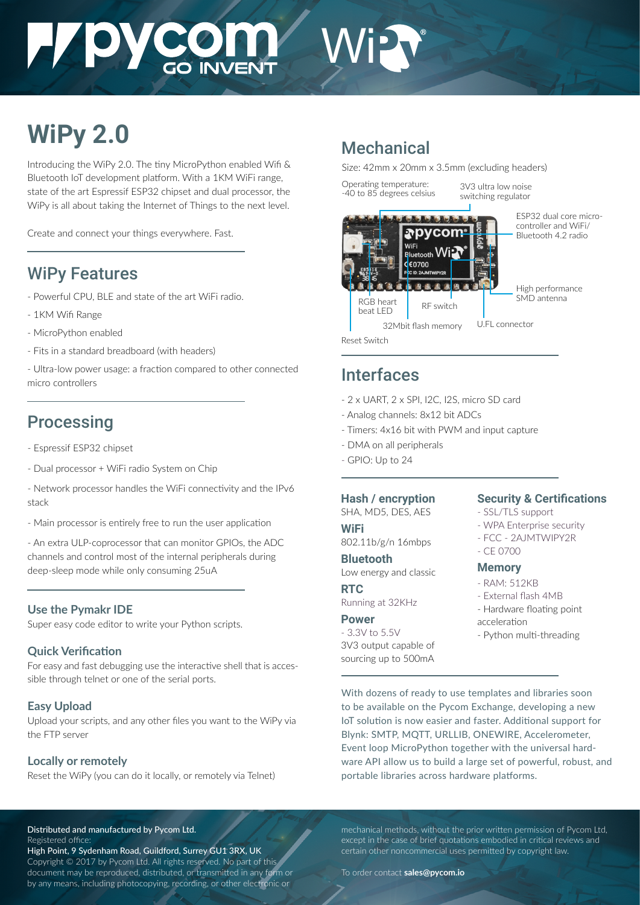# **HADACOM** Wi

# **WiPy 2.0**

Introducing the WiPy 2.0. The tiny MicroPython enabled Wifi & Bluetooth IoT development platform. With a 1KM WiFi range, state of the art Espressif ESP32 chipset and dual processor, the WiPy is all about taking the Internet of Things to the next level.

Create and connect your things everywhere. Fast.

# WiPy Features

- Powerful CPU, BLE and state of the art WiFi radio.
- 1KM Wifi Range
- MicroPython enabled
- Fits in a standard breadboard (with headers)

- Ultra-low power usage: a fraction compared to other connected micro controllers

# **Processing**

- Espressif ESP32 chipset
- Dual processor + WiFi radio System on Chip
- Network processor handles the WiFi connectivity and the IPv6 stack
- Main processor is entirely free to run the user application

- An extra ULP-coprocessor that can monitor GPIOs, the ADC channels and control most of the internal peripherals during deep-sleep mode while only consuming 25uA

# **Use the Pymakr IDE**

Super easy code editor to write your Python scripts.

# **Quick Verification**

For easy and fast debugging use the interactive shell that is accessible through telnet or one of the serial ports.

# **Easy Upload**

Upload your scripts, and any other files you want to the WiPy via the FTP server

# **Locally or remotely**

Reset the WiPy (you can do it locally, or remotely via Telnet)

# Mechanical

Size: 42mm x 20mm x 3.5mm (excluding headers)

Operating temperature: -40 to 85 degrees celsius 3V3 ultra low noise switching regulator



Reset Switch

# Interfaces

- 2 x UART, 2 x SPI, I2C, I2S, micro SD card
- Analog channels: 8x12 bit ADCs
- Timers: 4x16 bit with PWM and input capture
- DMA on all peripherals
- GPIO: Up to 24

# **Hash / encryption**

SHA, MD5, DES, AES

#### **WiFi**

802.11b/g/n 16mbps

**Bluetooth** Low energy and classic

#### **RTC**

Running at 32KHz

#### **Power**

- 3.3V to 5.5V 3V3 output capable of sourcing up to 500mA

# **Security & Certifications**

- SSL/TLS support
- WPA Enterprise security
- FCC 2AJMTWIPY2R
- CE 0700

# **Memory**

- RAM: 512KB
- External flash 4MB
- Hardware floating point
- acceleration
- Python multi-threading

With dozens of ready to use templates and libraries soon to be available on the Pycom Exchange, developing a new IoT solution is now easier and faster. Additional support for Blynk: SMTP, MQTT, URLLIB, ONEWIRE, Accelerometer, Event loop MicroPython together with the universal hardware API allow us to build a large set of powerful, robust, and portable libraries across hardware platforms.

Distributed and manufactured by Pycom Ltd. Registered office:

High Point, 9 Sydenham Road, Guildford, Surrey GU1 3RX, UK Copyright © 2017 by Pycom Ltd. All rights reserved. No part of this document may be reproduced, distributed, or transmitted in any form or by any means, including photocopying, recording, or other electronic or

mechanical methods, without the prior written permission of Pycom Ltd, except in the case of brief quotations embodied in critical reviews and certain other noncommercial uses permitted by copyright law.

To order contact **sales@pycom.io**